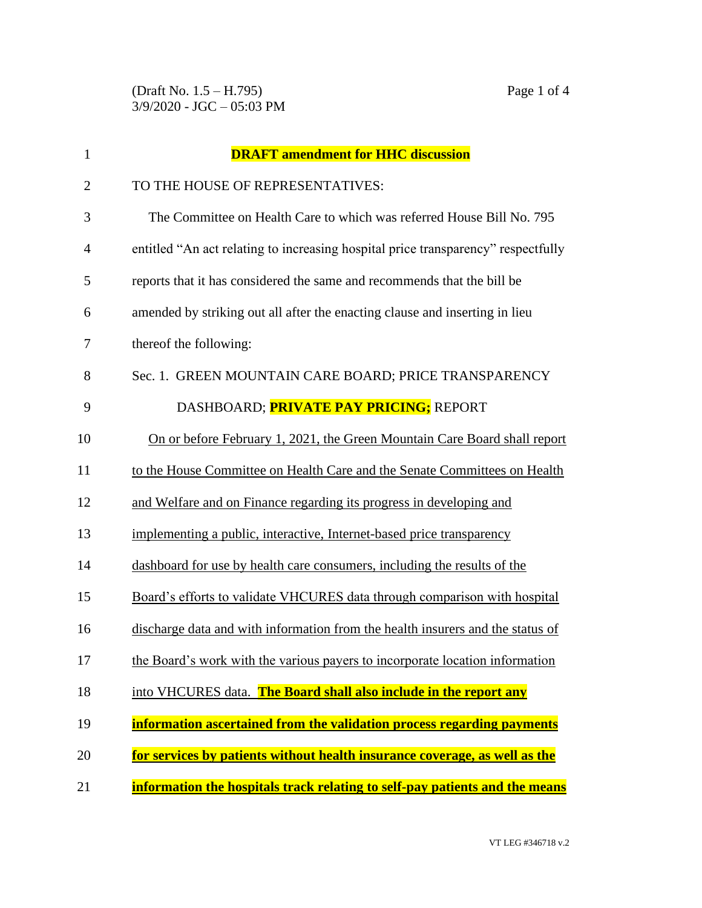(Draft No. 1.5 – H.795) Page 1 of 4 3/9/2020 - JGC – 05:03 PM

| $\mathbf{1}$   | <b>DRAFT</b> amendment for HHC discussion                                         |
|----------------|-----------------------------------------------------------------------------------|
| $\overline{2}$ | TO THE HOUSE OF REPRESENTATIVES:                                                  |
| 3              | The Committee on Health Care to which was referred House Bill No. 795             |
| $\overline{4}$ | entitled "An act relating to increasing hospital price transparency" respectfully |
| 5              | reports that it has considered the same and recommends that the bill be           |
| 6              | amended by striking out all after the enacting clause and inserting in lieu       |
| 7              | thereof the following:                                                            |
| 8              | Sec. 1. GREEN MOUNTAIN CARE BOARD; PRICE TRANSPARENCY                             |
| 9              | DASHBOARD; PRIVATE PAY PRICING; REPORT                                            |
| 10             | On or before February 1, 2021, the Green Mountain Care Board shall report         |
| 11             | to the House Committee on Health Care and the Senate Committees on Health         |
| 12             | and Welfare and on Finance regarding its progress in developing and               |
| 13             | implementing a public, interactive, Internet-based price transparency             |
| 14             | dashboard for use by health care consumers, including the results of the          |
| 15             | Board's efforts to validate VHCURES data through comparison with hospital         |
| 16             | discharge data and with information from the health insurers and the status of    |
| 17             | the Board's work with the various payers to incorporate location information      |
| 18             | into VHCURES data. The Board shall also include in the report any                 |
| 19             | information ascertained from the validation process regarding payments            |
| 20             | for services by patients without health insurance coverage, as well as the        |
| 21             | information the hospitals track relating to self-pay patients and the means       |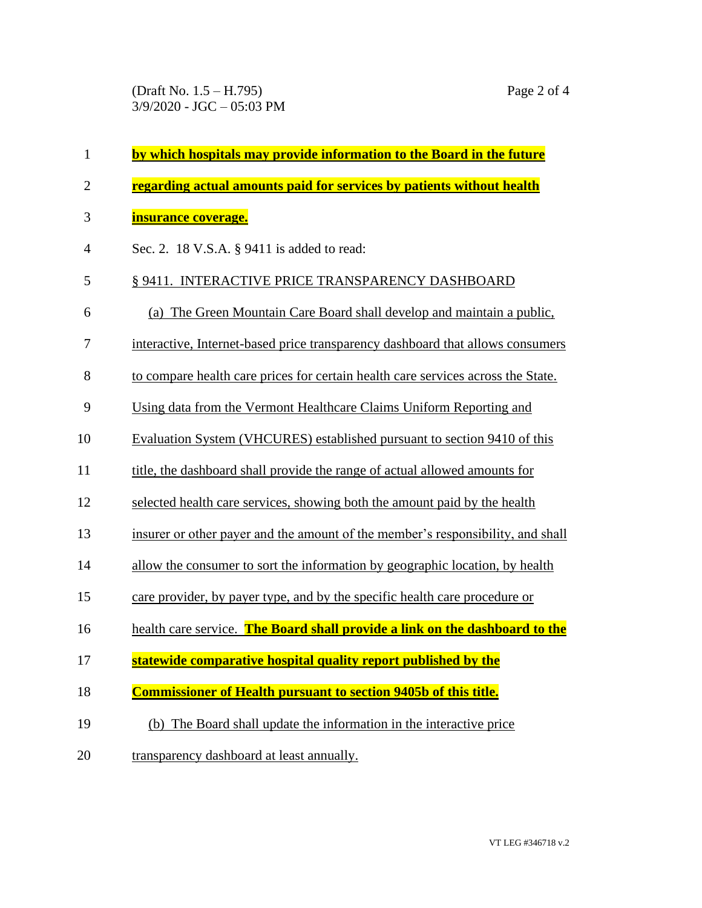| $\mathbf{1}$   | by which hospitals may provide information to the Board in the future            |
|----------------|----------------------------------------------------------------------------------|
| $\overline{2}$ | regarding actual amounts paid for services by patients without health            |
| 3              | <b>insurance coverage.</b>                                                       |
| $\overline{4}$ | Sec. 2. 18 V.S.A. § 9411 is added to read:                                       |
| 5              | § 9411. INTERACTIVE PRICE TRANSPARENCY DASHBOARD                                 |
| 6              | (a) The Green Mountain Care Board shall develop and maintain a public,           |
| 7              | interactive, Internet-based price transparency dashboard that allows consumers   |
| 8              | to compare health care prices for certain health care services across the State. |
| 9              | Using data from the Vermont Healthcare Claims Uniform Reporting and              |
| 10             | Evaluation System (VHCURES) established pursuant to section 9410 of this         |
| 11             | title, the dashboard shall provide the range of actual allowed amounts for       |
| 12             | selected health care services, showing both the amount paid by the health        |
| 13             | insurer or other payer and the amount of the member's responsibility, and shall  |
| 14             | allow the consumer to sort the information by geographic location, by health     |
| 15             | care provider, by payer type, and by the specific health care procedure or       |
| 16             | health care service. The Board shall provide a link on the dashboard to the      |
| 17             | statewide comparative hospital quality report published by the                   |
| 18             | <b>Commissioner of Health pursuant to section 9405b of this title.</b>           |
| 19             | (b) The Board shall update the information in the interactive price              |
| 20             | transparency dashboard at least annually.                                        |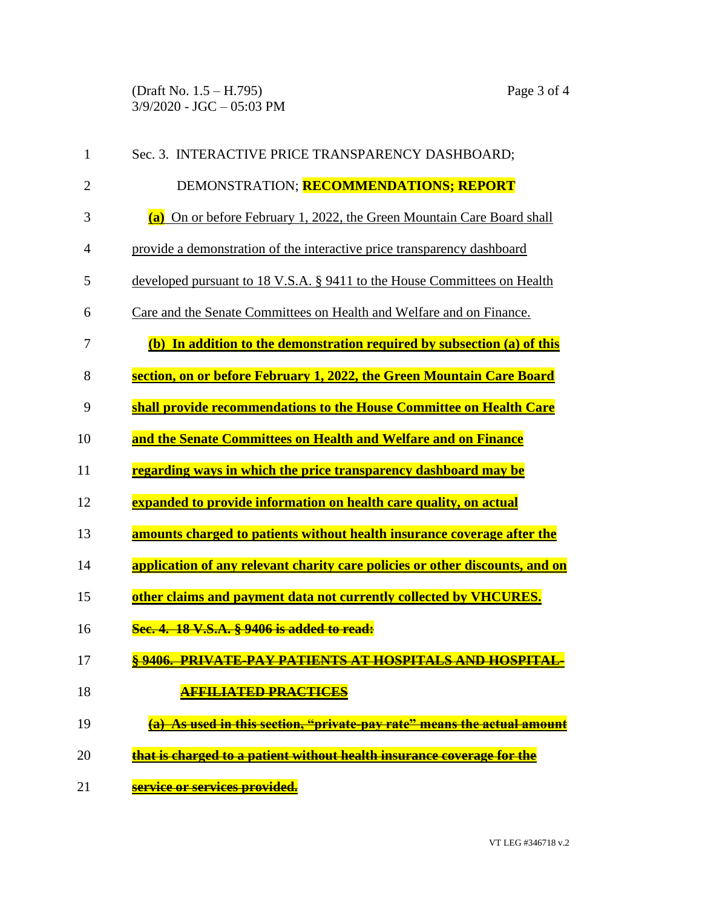| $\mathbf{1}$   | Sec. 3. INTERACTIVE PRICE TRANSPARENCY DASHBOARD;                            |
|----------------|------------------------------------------------------------------------------|
| $\overline{2}$ | DEMONSTRATION; RECOMMENDATIONS; REPORT                                       |
| 3              | (a) On or before February 1, 2022, the Green Mountain Care Board shall       |
| 4              | provide a demonstration of the interactive price transparency dashboard      |
| 5              | developed pursuant to 18 V.S.A. § 9411 to the House Committees on Health     |
| 6              | Care and the Senate Committees on Health and Welfare and on Finance.         |
| 7              | (b) In addition to the demonstration required by subsection (a) of this      |
| 8              | section, on or before February 1, 2022, the Green Mountain Care Board        |
| 9              | shall provide recommendations to the House Committee on Health Care          |
| 10             | and the Senate Committees on Health and Welfare and on Finance               |
| 11             | regarding ways in which the price transparency dashboard may be              |
| 12             | expanded to provide information on health care quality, on actual            |
| 13             | amounts charged to patients without health insurance coverage after the      |
| 14             | application of any relevant charity care policies or other discounts, and on |
| 15             | other claims and payment data not currently collected by VHCURES.            |
| 16             | <b>Sec. 4. 18 V.S.A. § 9406 is added to read:</b>                            |
| 17             | <u>§ 9406. PRIVATE-PAY PATIENTS AT HOSPITALS AND HOSPITAL-</u>               |
| 18             | <b>AFFILIATED PRACTICES</b>                                                  |
| 19             | (a) As used in this section, "private-pay rate" means the actual amount      |
| 20             | that is charged to a patient without health insurance coverage for the       |
| 21             | service or services provided.                                                |